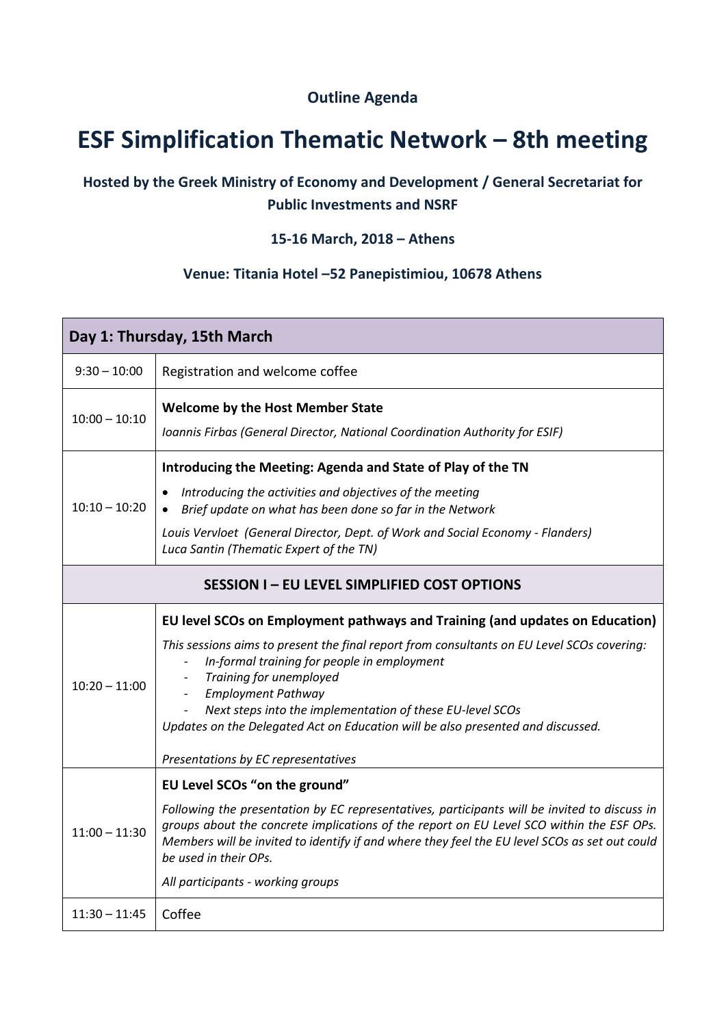## **Outline Agenda**

# **ESF Simplification Thematic Network – 8th meeting**

## **Hosted by the Greek Ministry of Economy and Development / General Secretariat for Public Investments and NSRF**

### **15-16 March, 2018 – Athens**

#### **Venue: Titania Hotel –52 Panepistimiou, 10678 Athens**

| Day 1: Thursday, 15th March                         |                                                                                                                                                                                                                                                                                                                                                                                                                                                                          |  |
|-----------------------------------------------------|--------------------------------------------------------------------------------------------------------------------------------------------------------------------------------------------------------------------------------------------------------------------------------------------------------------------------------------------------------------------------------------------------------------------------------------------------------------------------|--|
| $9:30 - 10:00$                                      | Registration and welcome coffee                                                                                                                                                                                                                                                                                                                                                                                                                                          |  |
| $10:00 - 10:10$                                     | <b>Welcome by the Host Member State</b><br>Ioannis Firbas (General Director, National Coordination Authority for ESIF)                                                                                                                                                                                                                                                                                                                                                   |  |
| $10:10 - 10:20$                                     | Introducing the Meeting: Agenda and State of Play of the TN<br>Introducing the activities and objectives of the meeting<br>• Brief update on what has been done so far in the Network<br>Louis Vervloet (General Director, Dept. of Work and Social Economy - Flanders)<br>Luca Santin (Thematic Expert of the TN)                                                                                                                                                       |  |
| <b>SESSION I - EU LEVEL SIMPLIFIED COST OPTIONS</b> |                                                                                                                                                                                                                                                                                                                                                                                                                                                                          |  |
| $10:20 - 11:00$                                     | EU level SCOs on Employment pathways and Training (and updates on Education)<br>This sessions aims to present the final report from consultants on EU Level SCOs covering:<br>In-formal training for people in employment<br>Training for unemployed<br><b>Employment Pathway</b><br>Next steps into the implementation of these EU-level SCOs<br>Updates on the Delegated Act on Education will be also presented and discussed.<br>Presentations by EC representatives |  |
| $11:00 - 11:30$                                     | EU Level SCOs "on the ground"<br>Following the presentation by EC representatives, participants will be invited to discuss in<br>groups about the concrete implications of the report on EU Level SCO within the ESF OPs.<br>Members will be invited to identify if and where they feel the EU level SCOs as set out could<br>be used in their OPs.<br>All participants - working groups                                                                                 |  |
| $11:30 - 11:45$                                     | Coffee                                                                                                                                                                                                                                                                                                                                                                                                                                                                   |  |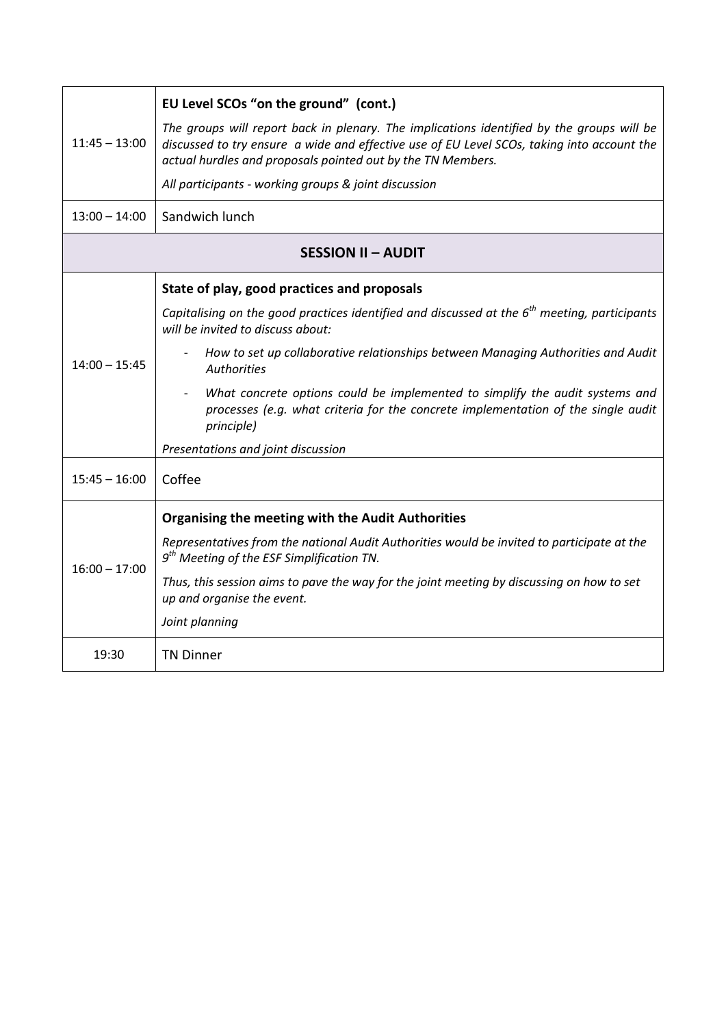| $11:45 - 13:00$           | EU Level SCOs "on the ground" (cont.)                                                                                                                                                                                                                  |  |
|---------------------------|--------------------------------------------------------------------------------------------------------------------------------------------------------------------------------------------------------------------------------------------------------|--|
|                           | The groups will report back in plenary. The implications identified by the groups will be<br>discussed to try ensure a wide and effective use of EU Level SCOs, taking into account the<br>actual hurdles and proposals pointed out by the TN Members. |  |
|                           | All participants - working groups & joint discussion                                                                                                                                                                                                   |  |
| $13:00 - 14:00$           | Sandwich lunch                                                                                                                                                                                                                                         |  |
| <b>SESSION II - AUDIT</b> |                                                                                                                                                                                                                                                        |  |
|                           | State of play, good practices and proposals                                                                                                                                                                                                            |  |
| $14:00 - 15:45$           | Capitalising on the good practices identified and discussed at the $6th$ meeting, participants<br>will be invited to discuss about:                                                                                                                    |  |
|                           | How to set up collaborative relationships between Managing Authorities and Audit<br><b>Authorities</b>                                                                                                                                                 |  |
|                           | What concrete options could be implemented to simplify the audit systems and<br>processes (e.g. what criteria for the concrete implementation of the single audit<br>principle)                                                                        |  |
|                           | Presentations and joint discussion                                                                                                                                                                                                                     |  |
| $15:45 - 16:00$           | Coffee                                                                                                                                                                                                                                                 |  |
| $16:00 - 17:00$           | <b>Organising the meeting with the Audit Authorities</b>                                                                                                                                                                                               |  |
|                           | Representatives from the national Audit Authorities would be invited to participate at the<br>$9th$ Meeting of the ESF Simplification TN.                                                                                                              |  |
|                           | Thus, this session aims to pave the way for the joint meeting by discussing on how to set<br>up and organise the event.                                                                                                                                |  |
|                           | Joint planning                                                                                                                                                                                                                                         |  |
| 19:30                     | <b>TN Dinner</b>                                                                                                                                                                                                                                       |  |